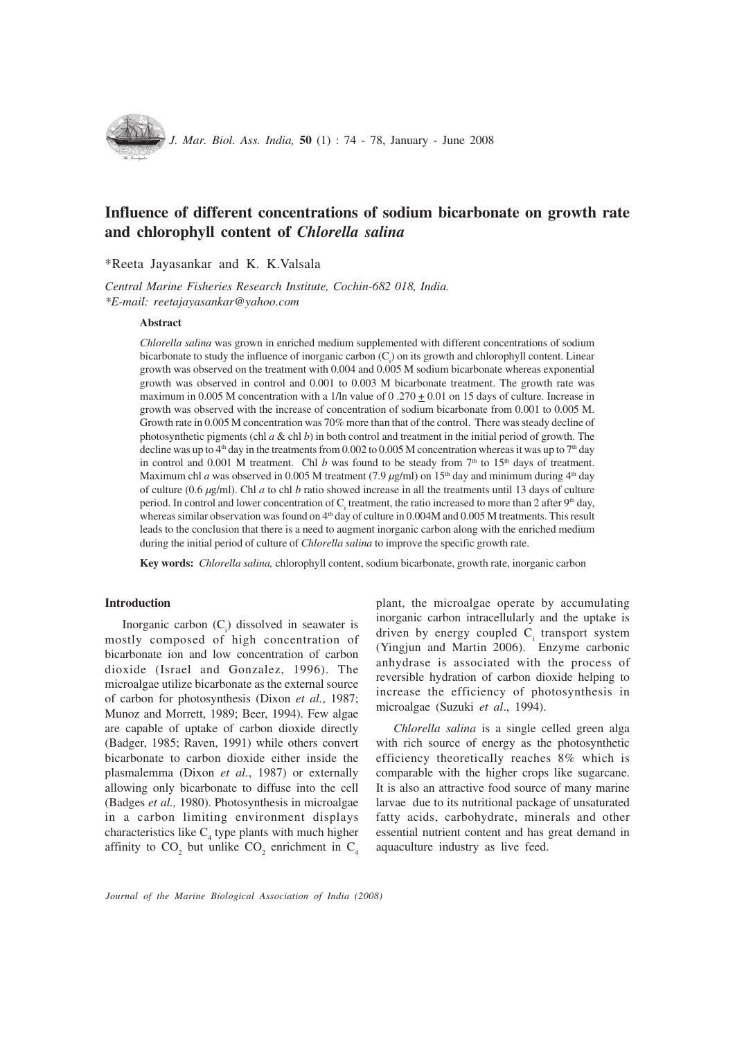

# Influence of different concentrations of sodium bicarbonate on growth rate and chlorophyll content of Chlorella salina

\*Reeta Jayasankar and K. K.Valsala

Central Marine Fisheries Research Institute, Cochin-682 018, India. \*E-mail: reetajayasankar@yahoo.com

### Abstract

Chlorella salina was grown in enriched medium supplemented with different concentrations of sodium bicarbonate to study the influence of inorganic carbon (C<sub>i</sub>) on its growth and chlorophyll content. Linear growth was observed on the treatment with 0.004 and 0.005 M sodium bicarbonate whereas exponential growth was observed in control and 0.001 to 0.003 M bicarbonate treatment. The growth rate was maximum in 0.005 M concentration with a 1/ln value of 0.270  $\pm$  0.01 on 15 days of culture. Increase in growth was observed with the increase of concentration of sodium bicarbonate from 0.001 to 0.005 M. Growth rate in 0.005 M concentration was 70% more than that of the control. There was steady decline of photosynthetic pigments (chl  $a \& c$  chl  $b$ ) in both control and treatment in the initial period of growth. The decline was up to  $4<sup>th</sup>$  day in the treatments from 0.002 to 0.005 M concentration whereas it was up to  $7<sup>th</sup>$  day in control and 0.001 M treatment. Chl b was found to be steady from  $7<sup>th</sup>$  to  $15<sup>th</sup>$  days of treatment. Maximum chl a was observed in 0.005 M treatment (7.9  $\mu$ g/ml) on 15<sup>th</sup> day and minimum during 4<sup>th</sup> day of culture (0.6  $\mu$ g/ml). Chl *a* to chl *b* ratio showed increase in all the treatments until 13 days of culture period. In control and lower concentration of  $C_i$  treatment, the ratio increased to more than 2 after 9<sup>th</sup> day, whereas similar observation was found on  $4<sup>th</sup>$  day of culture in 0.004M and 0.005 M treatments. This result leads to the conclusion that there is a need to augment inorganic carbon along with the enriched medium during the initial period of culture of *Chlorella salina* to improve the specific growth rate.

Key words: Chlorella salina, chlorophyll content, sodium bicarbonate, growth rate, inorganic carbon

## Introduction

Inorganic carbon  $(C_i)$  dissolved in seawater is mostly composed of high concentration of bicarbonate ion and low concentration of carbon dioxide (Israel and Gonzalez, 1996). The microalgae utilize bicarbonate as the external source of carbon for photosynthesis (Dixon et al., 1987; Munoz and Morrett, 1989; Beer, 1994). Few algae are capable of uptake of carbon dioxide directly (Badger, 1985; Raven, 1991) while others convert bicarbonate to carbon dioxide either inside the plasmalemma (Dixon et al., 1987) or externally allowing only bicarbonate to diffuse into the cell (Badges et al., 1980). Photosynthesis in microalgae in a carbon limiting environment displays characteristics like  $C_4$  type plants with much higher affinity to  $CO_2$  but unlike  $CO_2$  enrichment in  $C_4$ 

plant, the microalgae operate by accumulating inorganic carbon intracellularly and the uptake is driven by energy coupled  $C<sub>i</sub>$  transport system (Yingjun and Martin 2006). Enzyme carbonic anhydrase is associated with the process of reversible hydration of carbon dioxide helping to increase the efficiency of photosynthesis in microalgae (Suzuki et al., 1994).

Chlorella salina is a single celled green alga with rich source of energy as the photosynthetic efficiency theoretically reaches 8% which is comparable with the higher crops like sugarcane. It is also an attractive food source of many marine larvae due to its nutritional package of unsaturated fatty acids, carbohydrate, minerals and other essential nutrient content and has great demand in aquaculture industry as live feed.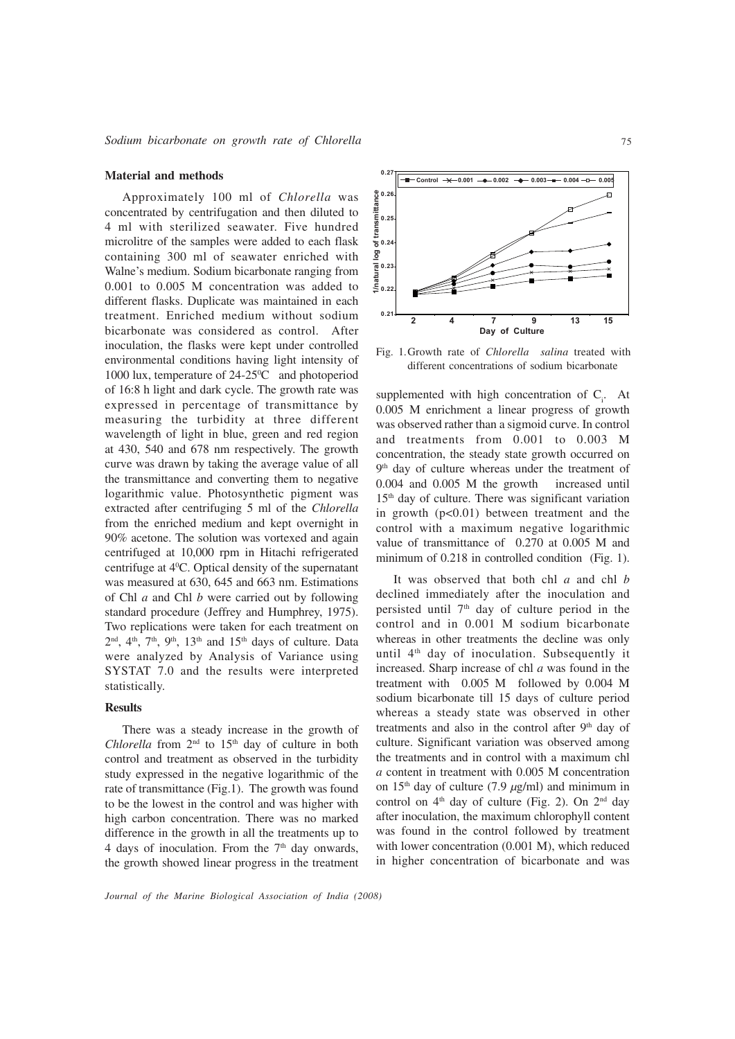#### Material and methods

Approximately 100 ml of Chlorella was concentrated by centrifugation and then diluted to 4 ml with sterilized seawater. Five hundred microlitre of the samples were added to each flask containing 300 ml of seawater enriched with Walne's medium. Sodium bicarbonate ranging from 0.001 to 0.005 M concentration was added to different flasks. Duplicate was maintained in each treatment. Enriched medium without sodium bicarbonate was considered as control. After inoculation, the flasks were kept under controlled environmental conditions having light intensity of 1000 lux, temperature of 24-25<sup>o</sup>C and photoperiod of 16:8 h light and dark cycle. The growth rate was expressed in percentage of transmittance by measuring the turbidity at three different wavelength of light in blue, green and red region at 430, 540 and 678 nm respectively. The growth curve was drawn by taking the average value of all the transmittance and converting them to negative logarithmic value. Photosynthetic pigment was extracted after centrifuging 5 ml of the Chlorella from the enriched medium and kept overnight in 90% acetone. The solution was vortexed and again centrifuged at 10,000 rpm in Hitachi refrigerated centrifuge at 40 C. Optical density of the supernatant was measured at 630, 645 and 663 nm. Estimations of Chl  $a$  and Chl  $b$  were carried out by following standard procedure (Jeffrey and Humphrey, 1975). Two replications were taken for each treatment on  $2<sup>nd</sup>$ ,  $4<sup>th</sup>$ ,  $7<sup>th</sup>$ ,  $9<sup>th</sup>$ ,  $13<sup>th</sup>$  and  $15<sup>th</sup>$  days of culture. Data were analyzed by Analysis of Variance using SYSTAT 7.0 and the results were interpreted statistically.

# Results

There was a steady increase in the growth of Chlorella from  $2<sup>nd</sup>$  to  $15<sup>th</sup>$  day of culture in both control and treatment as observed in the turbidity study expressed in the negative logarithmic of the rate of transmittance (Fig.1). The growth was found to be the lowest in the control and was higher with high carbon concentration. There was no marked difference in the growth in all the treatments up to 4 days of inoculation. From the  $7<sup>th</sup>$  day onwards, the growth showed linear progress in the treatment



Fig. 1.Growth rate of Chlorella salina treated with different concentrations of sodium bicarbonate

supplemented with high concentration of  $C_i$ . At 0.005 M enrichment a linear progress of growth was observed rather than a sigmoid curve. In control and treatments from 0.001 to 0.003 M concentration, the steady state growth occurred on 9<sup>th</sup> day of culture whereas under the treatment of 0.004 and 0.005 M the growth increased until 15th day of culture. There was significant variation in growth  $(p<0.01)$  between treatment and the control with a maximum negative logarithmic value of transmittance of 0.270 at 0.005 M and minimum of 0.218 in controlled condition (Fig. 1).

It was observed that both chl  $a$  and chl  $b$ declined immediately after the inoculation and persisted until  $7<sup>th</sup>$  day of culture period in the control and in 0.001 M sodium bicarbonate whereas in other treatments the decline was only until 4<sup>th</sup> day of inoculation. Subsequently it increased. Sharp increase of chl a was found in the treatment with 0.005 M followed by 0.004 M sodium bicarbonate till 15 days of culture period whereas a steady state was observed in other treatments and also in the control after  $9<sup>th</sup>$  day of culture. Significant variation was observed among the treatments and in control with a maximum chl a content in treatment with 0.005 M concentration on  $15<sup>th</sup>$  day of culture (7.9  $\mu$ g/ml) and minimum in control on  $4<sup>th</sup>$  day of culture (Fig. 2). On  $2<sup>nd</sup>$  day after inoculation, the maximum chlorophyll content was found in the control followed by treatment with lower concentration (0.001 M), which reduced in higher concentration of bicarbonate and was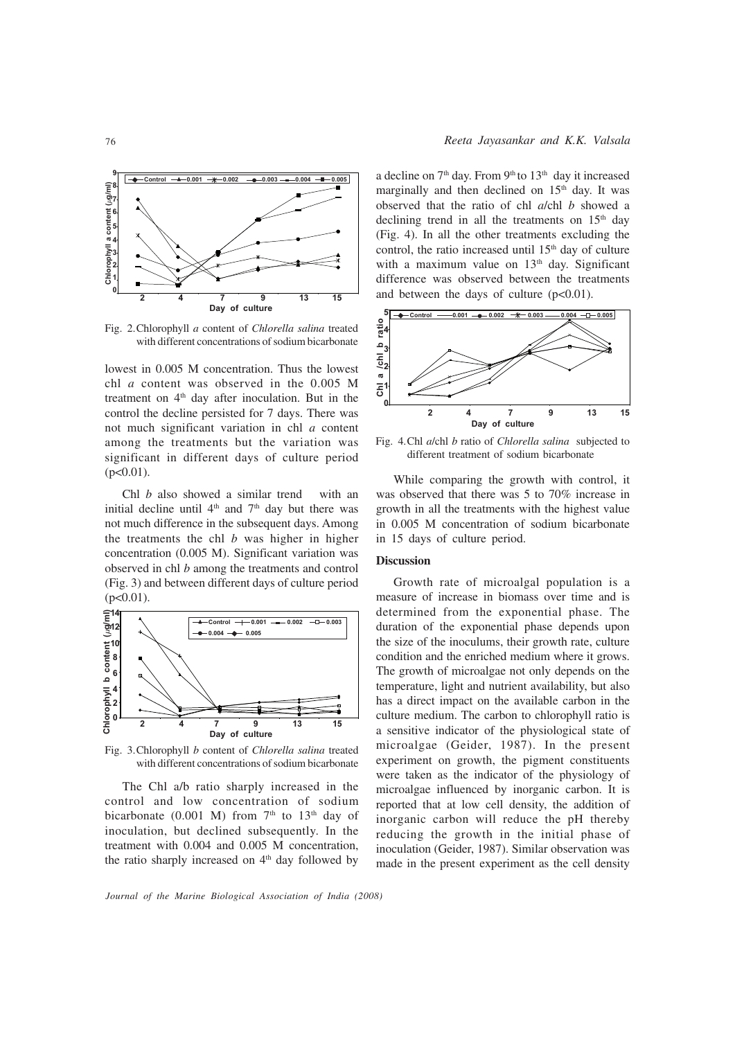

Fig. 2.Chlorophyll a content of Chlorella salina treated with different concentrations of sodium bicarbonate

lowest in 0.005 M concentration. Thus the lowest chl a content was observed in the 0.005 M treatment on  $4<sup>th</sup>$  day after inoculation. But in the control the decline persisted for 7 days. There was not much significant variation in chl a content among the treatments but the variation was significant in different days of culture period  $(p<0.01)$ .

Chl *b* also showed a similar trend with an initial decline until  $4<sup>th</sup>$  and  $7<sup>th</sup>$  day but there was not much difference in the subsequent days. Among the treatments the chl  $b$  was higher in higher concentration (0.005 M). Significant variation was observed in chl b among the treatments and control (Fig. 3) and between different days of culture period  $(p<0.01)$ .



Fig. 3.Chlorophyll b content of Chlorella salina treated with different concentrations of sodium bicarbonate

The Chl a/b ratio sharply increased in the control and low concentration of sodium bicarbonate (0.001 M) from  $7<sup>th</sup>$  to  $13<sup>th</sup>$  day of inoculation, but declined subsequently. In the treatment with 0.004 and 0.005 M concentration, the ratio sharply increased on  $4<sup>th</sup>$  day followed by a decline on  $7<sup>th</sup>$  day. From  $9<sup>th</sup>$  to  $13<sup>th</sup>$  day it increased marginally and then declined on  $15<sup>th</sup>$  day. It was observed that the ratio of chl a/chl b showed a declining trend in all the treatments on  $15<sup>th</sup>$  day (Fig. 4). In all the other treatments excluding the control, the ratio increased until  $15<sup>th</sup>$  day of culture with a maximum value on  $13<sup>th</sup>$  day. Significant difference was observed between the treatments and between the days of culture  $(p<0.01)$ .



Fig. 4.Chl a/chl b ratio of Chlorella salina subjected to different treatment of sodium bicarbonate

While comparing the growth with control, it was observed that there was 5 to 70% increase in growth in all the treatments with the highest value in 0.005 M concentration of sodium bicarbonate in 15 days of culture period.

## Discussion

Growth rate of microalgal population is a measure of increase in biomass over time and is determined from the exponential phase. The duration of the exponential phase depends upon the size of the inoculums, their growth rate, culture condition and the enriched medium where it grows. The growth of microalgae not only depends on the temperature, light and nutrient availability, but also has a direct impact on the available carbon in the culture medium. The carbon to chlorophyll ratio is a sensitive indicator of the physiological state of microalgae (Geider, 1987). In the present experiment on growth, the pigment constituents were taken as the indicator of the physiology of microalgae influenced by inorganic carbon. It is reported that at low cell density, the addition of inorganic carbon will reduce the pH thereby reducing the growth in the initial phase of inoculation (Geider, 1987). Similar observation was made in the present experiment as the cell density

Journal of the Marine Biological Association of India (2008)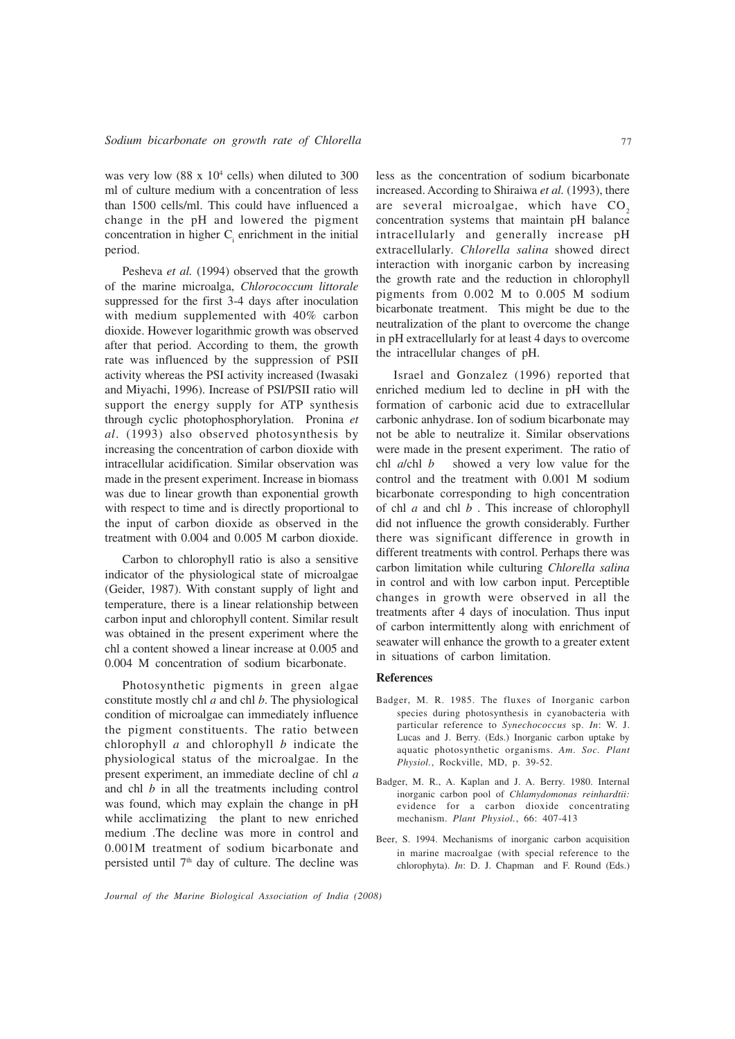was very low  $(88 \times 10^4 \text{ cells})$  when diluted to 300 ml of culture medium with a concentration of less than 1500 cells/ml. This could have influenced a change in the pH and lowered the pigment concentration in higher  $C<sub>i</sub>$  enrichment in the initial period.

Pesheva et al. (1994) observed that the growth of the marine microalga, Chlorococcum littorale suppressed for the first 3-4 days after inoculation with medium supplemented with 40% carbon dioxide. However logarithmic growth was observed after that period. According to them, the growth rate was influenced by the suppression of PSII activity whereas the PSI activity increased (Iwasaki and Miyachi, 1996). Increase of PSI/PSII ratio will support the energy supply for ATP synthesis through cyclic photophosphorylation. Pronina et al. (1993) also observed photosynthesis by increasing the concentration of carbon dioxide with intracellular acidification. Similar observation was made in the present experiment. Increase in biomass was due to linear growth than exponential growth with respect to time and is directly proportional to the input of carbon dioxide as observed in the treatment with 0.004 and 0.005 M carbon dioxide.

Carbon to chlorophyll ratio is also a sensitive indicator of the physiological state of microalgae (Geider, 1987). With constant supply of light and temperature, there is a linear relationship between carbon input and chlorophyll content. Similar result was obtained in the present experiment where the chl a content showed a linear increase at 0.005 and 0.004 M concentration of sodium bicarbonate.

Photosynthetic pigments in green algae constitute mostly chl  $a$  and chl  $b$ . The physiological condition of microalgae can immediately influence the pigment constituents. The ratio between chlorophyll  $a$  and chlorophyll  $b$  indicate the physiological status of the microalgae. In the present experiment, an immediate decline of chl a and chl  $b$  in all the treatments including control was found, which may explain the change in pH while acclimatizing the plant to new enriched medium .The decline was more in control and 0.001M treatment of sodium bicarbonate and persisted until  $7<sup>th</sup>$  day of culture. The decline was less as the concentration of sodium bicarbonate increased. According to Shiraiwa et al. (1993), there are several microalgae, which have  $CO<sub>2</sub>$ concentration systems that maintain pH balance intracellularly and generally increase pH extracellularly. Chlorella salina showed direct interaction with inorganic carbon by increasing the growth rate and the reduction in chlorophyll pigments from 0.002 M to 0.005 M sodium bicarbonate treatment. This might be due to the neutralization of the plant to overcome the change in pH extracellularly for at least 4 days to overcome the intracellular changes of pH.

Israel and Gonzalez (1996) reported that enriched medium led to decline in pH with the formation of carbonic acid due to extracellular carbonic anhydrase. Ion of sodium bicarbonate may not be able to neutralize it. Similar observations were made in the present experiment. The ratio of chl  $a$ /chl  $b$  showed a very low value for the control and the treatment with 0.001 M sodium bicarbonate corresponding to high concentration of chl  $a$  and chl  $b$ . This increase of chlorophyll did not influence the growth considerably. Further there was significant difference in growth in different treatments with control. Perhaps there was carbon limitation while culturing Chlorella salina in control and with low carbon input. Perceptible changes in growth were observed in all the treatments after 4 days of inoculation. Thus input of carbon intermittently along with enrichment of seawater will enhance the growth to a greater extent in situations of carbon limitation.

#### References

- Badger, M. R. 1985. The fluxes of Inorganic carbon species during photosynthesis in cyanobacteria with particular reference to Synechococcus sp. In: W. J. Lucas and J. Berry. (Eds.) Inorganic carbon uptake by aquatic photosynthetic organisms. Am. Soc. Plant Physiol., Rockville, MD, p. 39-52.
- Badger, M. R., A. Kaplan and J. A. Berry. 1980. Internal inorganic carbon pool of Chlamydomonas reinhardtii: evidence for a carbon dioxide concentrating mechanism. Plant Physiol., 66: 407-413
- Beer, S. 1994. Mechanisms of inorganic carbon acquisition in marine macroalgae (with special reference to the chlorophyta). In: D. J. Chapman and F. Round (Eds.)

Journal of the Marine Biological Association of India (2008)